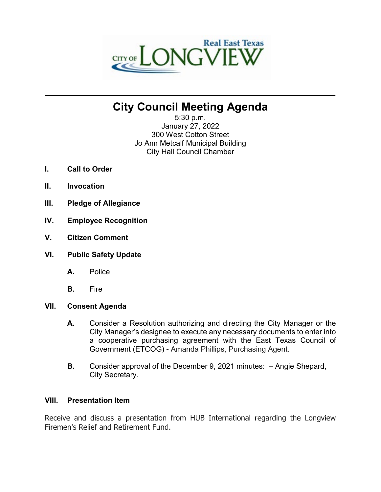

# **City Council Meeting Agenda**

**\_\_\_\_\_\_\_\_\_\_\_\_\_\_\_\_\_\_\_\_\_\_\_\_\_\_\_\_\_\_\_\_\_\_\_\_\_\_\_\_\_\_\_\_\_\_\_\_\_\_\_\_\_\_\_\_\_\_\_\_\_\_\_\_\_\_\_\_\_\_**

5:30 p.m. January 27, 2022 300 West Cotton Street Jo Ann Metcalf Municipal Building City Hall Council Chamber

- **I. Call to Order**
- **II. Invocation**
- **III. Pledge of Allegiance**
- **IV. Employee Recognition**
- **V. Citizen Comment**
- **VI. Public Safety Update**
	- **A.** Police
	- **B.** Fire

## **VII. Consent Agenda**

- **A.** Consider a Resolution authorizing and directing the City Manager or the City Manager's designee to execute any necessary documents to enter into a cooperative purchasing agreement with the East Texas Council of Government (ETCOG) - Amanda Phillips, Purchasing Agent.
- **B.** Consider approval of the December 9, 2021 minutes: Angie Shepard, City Secretary.

#### **VIII. Presentation Item**

Receive and discuss a presentation from HUB International regarding the Longview Firemen's Relief and Retirement Fund.